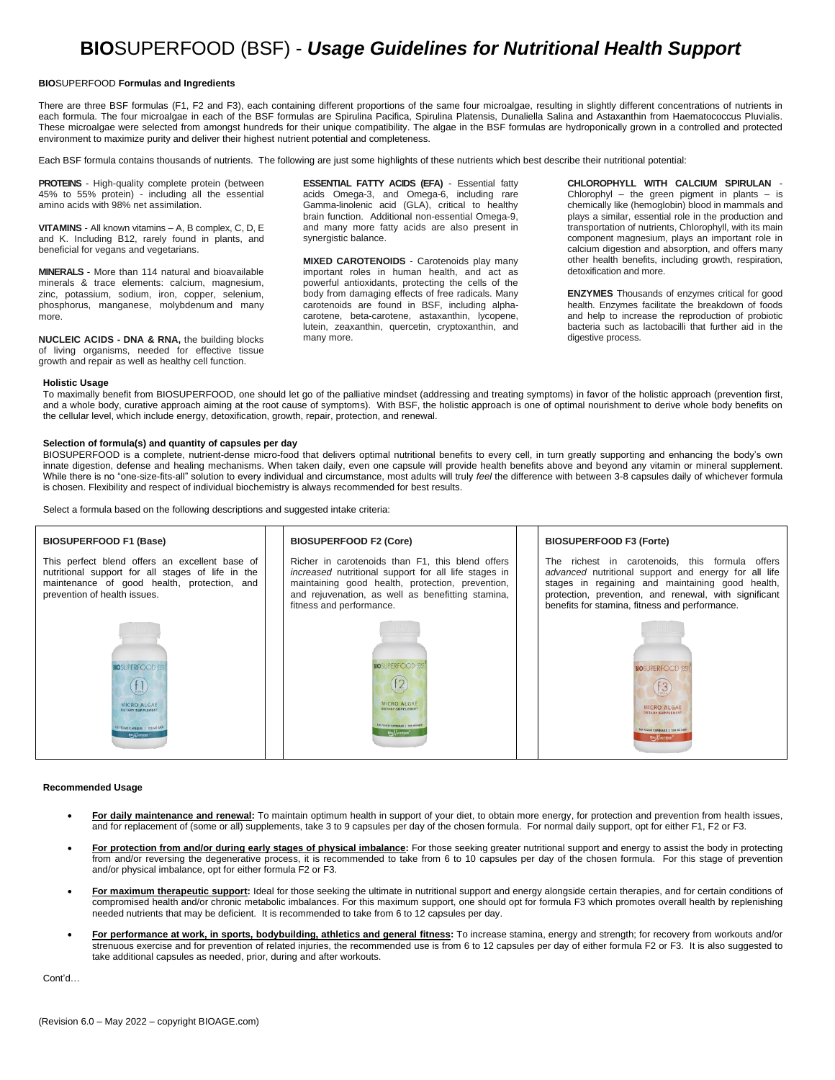# **BIO**SUPERFOOD (BSF) - *Usage Guidelines for Nutritional Health Support*

# **BIO**SUPERFOOD **Formulas and Ingredients**

There are three BSF formulas (F1, F2 and F3), each containing different proportions of the same four microalgae, resulting in slightly different concentrations of nutrients in each formula. The four microalgae in each of the BSF formulas are Spirulina Pacifica, Spirulina Platensis, Dunaliella Salina and Astaxanthin from Haematococcus Pluvialis. These microalgae were selected from amongst hundreds for their unique compatibility. The algae in the BSF formulas are hydroponically grown in a controlled and protected environment to maximize purity and deliver their highest nutrient potential and completeness.

Each BSF formula contains thousands of nutrients. The following are just some highlights of these nutrients which best describe their nutritional potential:

**PROTEINS** - High-quality complete protein (between 45% to 55% protein) - including all the essential amino acids with 98% net assimilation.

**VITAMINS** - All known vitamins – A, B complex, C, D, E and K. Including B12, rarely found in plants, and beneficial for vegans and vegetarians.

**MINERALS** - More than 114 natural and bioavailable minerals & trace elements: calcium, magnesium, zinc, potassium, sodium, iron, copper, selenium, phosphorus, manganese, molybdenum and many more.

**NUCLEIC ACIDS - DNA & RNA,** the building blocks of living organisms, needed for effective tissue growth and repair as well as healthy cell function.

**ESSENTIAL FATTY ACIDS (EFA)** - Essential fatty acids Omega-3, and Omega-6, including rare Gamma-linolenic acid (GLA), critical to healthy brain function. Additional non-essential Omega-9, and many more fatty acids are also present in synergistic balance.

**MIXED CAROTENOIDS** - Carotenoids play many important roles in human health, and act as powerful antioxidants, protecting the cells of the body from damaging effects of free radicals. Many carotenoids are found in BSF, including alphacarotene, beta-carotene, astaxanthin, lycopene, lutein, zeaxanthin, quercetin, cryptoxanthin, and many more.

**CHLOROPHYLL WITH CALCIUM SPIRULAN** - Chlorophyl – the green pigment in plants – is chemically like (hemoglobin) blood in mammals and plays a similar, essential role in the production and transportation of nutrients, Chlorophyll, with its main component magnesium, plays an important role in calcium digestion and absorption, and offers many other health benefits, including growth, respiration, detoxification and more.

**ENZYMES** Thousands of enzymes critical for good health. Enzymes facilitate the breakdown of foods and help to increase the reproduction of probiotic bacteria such as lactobacilli that further aid in the digestive process.

### **Holistic Usage**

To maximally benefit from BIOSUPERFOOD, one should let go of the palliative mindset (addressing and treating symptoms) in favor of the holistic approach (prevention first, and a whole body, curative approach aiming at the root cause of symptoms). With BSF, the holistic approach is one of optimal nourishment to derive whole body benefits on the cellular level, which include energy, detoxification, growth, repair, protection, and renewal.

# **Selection of formula(s) and quantity of capsules per day**

BIOSUPERFOOD is a complete, nutrient-dense micro-food that delivers optimal nutritional benefits to every cell, in turn greatly supporting and enhancing the body's own innate digestion, defense and healing mechanisms. When taken daily, even one capsule will provide health benefits above and beyond any vitamin or mineral supplement. While there is no "one-size-fits-all" solution to every individual and circumstance, most adults will truly *feel* the difference with between 3-8 capsules daily of whichever formula is chosen. Flexibility and respect of individual biochemistry is always recommended for best results.

Select a formula based on the following descriptions and suggested intake criteria:



## **Recommended Usage**

- **For daily maintenance and renewal:** To maintain optimum health in support of your diet, to obtain more energy, for protection and prevention from health issues, and for replacement of (some or all) supplements, take 3 to 9 capsules per day of the chosen formula. For normal daily support, opt for either F1, F2 or F3.
- **For protection from and/or during early stages of physical imbalance:** For those seeking greater nutritional support and energy to assist the body in protecting from and/or reversing the degenerative process, it is recommended to take from 6 to 10 capsules per day of the chosen formula. For this stage of prevention and/or physical imbalance, opt for either formula F2 or F3.
- **For maximum therapeutic support:** Ideal for those seeking the ultimate in nutritional support and energy alongside certain therapies, and for certain conditions of compromised health and/or chronic metabolic imbalances. For this maximum support, one should opt for formula F3 which promotes overall health by replenishing needed nutrients that may be deficient. It is recommended to take from 6 to 12 capsules per day.
- **For performance at work, in sports, bodybuilding, athletics and general fitness:** To increase stamina, energy and strength; for recovery from workouts and/or strenuous exercise and for prevention of related injuries, the recommended use is from 6 to 12 capsules per day of either formula F2 or F3. It is also suggested to take additional capsules as needed, prior, during and after workouts.

Cont'd…